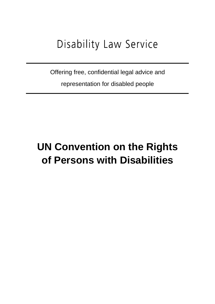# Disability Law Service

Offering free, confidential legal advice and representation for disabled people

## **UN Convention on the Rights of Persons with Disabilities**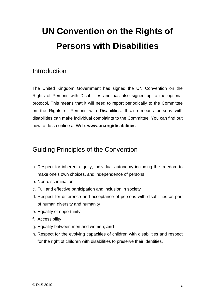# **UN Convention on the Rights of Persons with Disabilities**

### Introduction

The United Kingdom Government has signed the UN Convention on the Rights of Persons with Disabilities and has also signed up to the optional protocol. This means that it will need to report periodically to the Committee on the Rights of Persons with Disabilities. It also means persons with disabilities can make individual complaints to the Committee. You can find out how to do so online at Web: **www.un.org/disabilities** 

## Guiding Principles of the Convention

- a. Respect for inherent dignity, individual autonomy including the freedom to make one's own choices, and independence of persons
- b. Non-discrimination
- c. Full and effective participation and inclusion in society
- d. Respect for difference and acceptance of persons with disabilities as part of human diversity and humanity
- e. Equality of opportunity
- f. Accessibility
- g. Equality between men and women; **and**
- h. Respect for the evolving capacities of children with disabilities and respect for the right of children with disabilities to preserve their identities.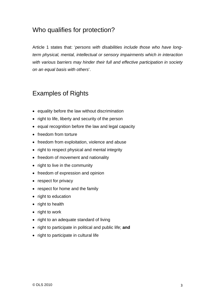## Who qualifies for protection?

Article 1 states that: '*persons with disabilities include those who have longterm physical, mental, intellectual or sensory impairments which in interaction with various barriers may hinder their full and effective participation in society on an equal basis with others*'.

### Examples of Rights

- equality before the law without discrimination
- right to life, liberty and security of the person
- equal recognition before the law and legal capacity
- freedom from torture
- freedom from exploitation, violence and abuse
- right to respect physical and mental integrity
- freedom of movement and nationality
- right to live in the community
- freedom of expression and opinion
- respect for privacy
- respect for home and the family
- right to education
- right to health
- right to work
- right to an adequate standard of living
- right to participate in political and public life; **and**
- right to participate in cultural life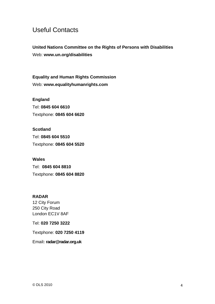#### Useful Contacts

**United Nations Committee on the Rights of Persons with Disabilities** Web: **www.un.org/disabilities** 

**Equality and Human Rights Commission**  Web: **www.equalityhumanrights.com** 

**England** Tel: **0845 604 6610** Textphone: **0845 604 6620** 

**Scotland** Tel: **0845 604 5510** Textphone: **0845 604 5520** 

**Wales**  Tel: **0845 604 8810** Textphone: **0845 604 8820** 

#### **RADAR**  12 City Forum 250 City Road London EC1V 8AF

Tel: **020 7250 3222** 

Textphone: **020 7250 4119** 

Email**: radar@radar.org.uk**